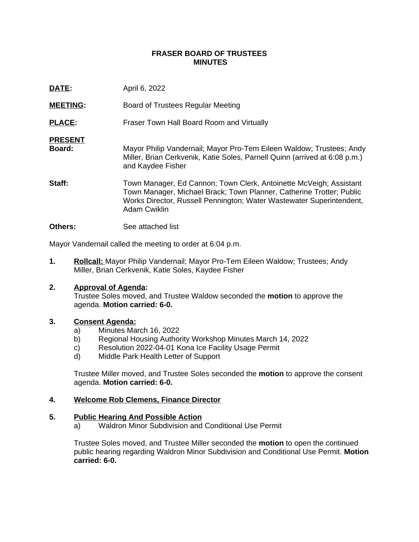# **FRASER BOARD OF TRUSTEES MINUTES**

| DATE:                    | April 6, 2022                                                                                                                                                                                                                             |
|--------------------------|-------------------------------------------------------------------------------------------------------------------------------------------------------------------------------------------------------------------------------------------|
| <b>MEETING:</b>          | Board of Trustees Regular Meeting                                                                                                                                                                                                         |
| <b>PLACE:</b>            | Fraser Town Hall Board Room and Virtually                                                                                                                                                                                                 |
| <b>PRESENT</b><br>Board: | Mayor Philip Vandernail; Mayor Pro-Tem Eileen Waldow; Trustees; Andy<br>Miller, Brian Cerkvenik, Katie Soles, Parnell Quinn (arrived at 6:08 p.m.)<br>and Kaydee Fisher                                                                   |
| Staff:                   | Town Manager, Ed Cannon; Town Clerk, Antoinette McVeigh; Assistant<br>Town Manager, Michael Brack; Town Planner, Catherine Trotter; Public<br>Works Director, Russell Pennington; Water Wastewater Superintendent,<br><b>Adam Cwiklin</b> |
| <b>Others:</b>           | See attached list                                                                                                                                                                                                                         |

Mayor Vandernail called the meeting to order at 6:04 p.m.

**1. Rollcall:** Mayor Philip Vandernail; Mayor Pro-Tem Eileen Waldow; Trustees; Andy Miller, Brian Cerkvenik, Katie Soles, Kaydee Fisher

# **2. Approval of Agenda:**

Trustee Soles moved, and Trustee Waldow seconded the **motion** to approve the agenda. **Motion carried: 6-0.**

# **3. Consent Agenda:**

- a) Minutes March 16, 2022
- b) Regional Housing Authority Workshop Minutes March 14, 2022
- c) Resolution 2022-04-01 Kona Ice Facility Usage Permit
- d) Middle Park Health Letter of Support

Trustee Miller moved, and Trustee Soles seconded the **motion** to approve the consent agenda. **Motion carried: 6-0.**

# **4. Welcome Rob Clemens, Finance Director**

#### **5. Public Hearing And Possible Action**

a) Waldron Minor Subdivision and Conditional Use Permit

Trustee Soles moved, and Trustee Miller seconded the **motion** to open the continued public hearing regarding Waldron Minor Subdivision and Conditional Use Permit. **Motion carried: 6-0.**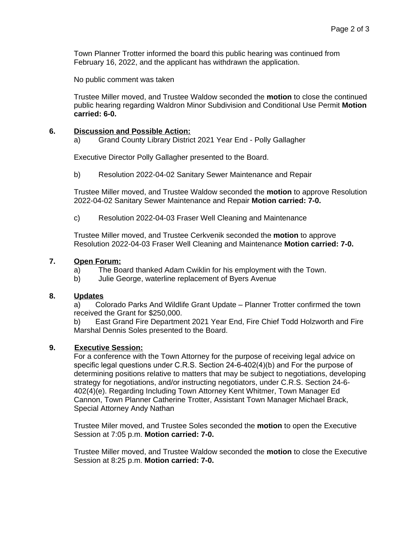Town Planner Trotter informed the board this public hearing was continued from February 16, 2022, and the applicant has withdrawn the application.

No public comment was taken

Trustee Miller moved, and Trustee Waldow seconded the **motion** to close the continued public hearing regarding Waldron Minor Subdivision and Conditional Use Permit **Motion carried: 6-0.**

# **6. Discussion and Possible Action:**

a) Grand County Library District 2021 Year End - Polly Gallagher

Executive Director Polly Gallagher presented to the Board.

b) Resolution 2022-04-02 Sanitary Sewer Maintenance and Repair

Trustee Miller moved, and Trustee Waldow seconded the **motion** to approve Resolution 2022-04-02 Sanitary Sewer Maintenance and Repair **Motion carried: 7-0.**

c) Resolution 2022-04-03 Fraser Well Cleaning and Maintenance

Trustee Miller moved, and Trustee Cerkvenik seconded the **motion** to approve Resolution 2022-04-03 Fraser Well Cleaning and Maintenance **Motion carried: 7-0.**

# **7. Open Forum:**

- a) The Board thanked Adam Cwiklin for his employment with the Town.
- b) Julie George, waterline replacement of Byers Avenue

# **8. Updates**

a) Colorado Parks And Wildlife Grant Update – Planner Trotter confirmed the town received the Grant for \$250,000.

b) East Grand Fire Department 2021 Year End, Fire Chief Todd Holzworth and Fire Marshal Dennis Soles presented to the Board.

# **9. Executive Session:**

For a conference with the Town Attorney for the purpose of receiving legal advice on specific legal questions under C.R.S. Section 24-6-402(4)(b) and For the purpose of determining positions relative to matters that may be subject to negotiations, developing strategy for negotiations, and/or instructing negotiators, under C.R.S. Section 24-6- 402(4)(e). Regarding Including Town Attorney Kent Whitmer, Town Manager Ed Cannon, Town Planner Catherine Trotter, Assistant Town Manager Michael Brack, Special Attorney Andy Nathan

Trustee Miler moved, and Trustee Soles seconded the **motion** to open the Executive Session at 7:05 p.m. **Motion carried: 7-0.**

Trustee Miller moved, and Trustee Waldow seconded the **motion** to close the Executive Session at 8:25 p.m. **Motion carried: 7-0.**